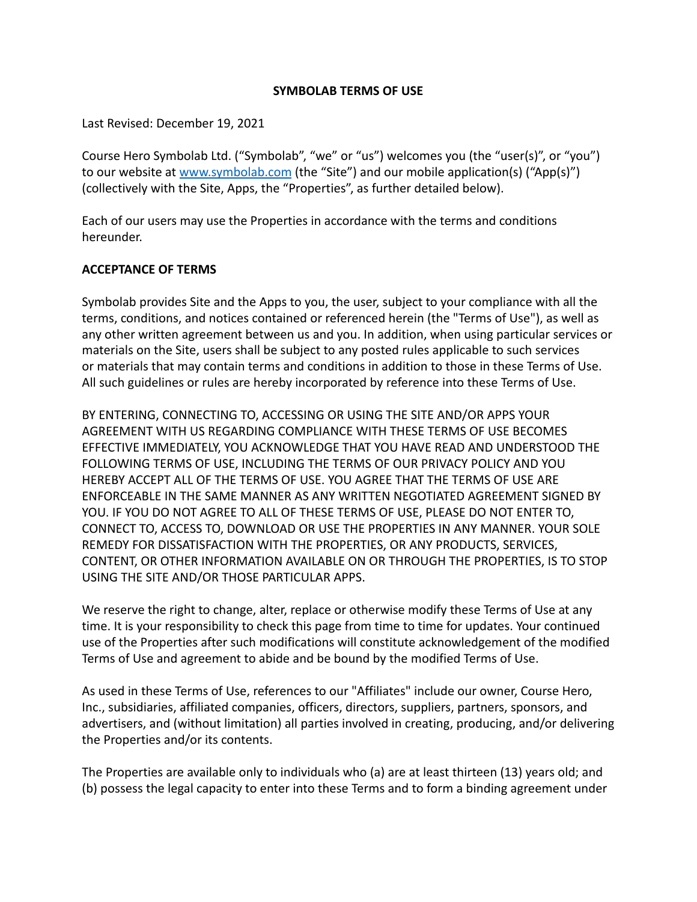#### **SYMBOLAB TERMS OF USE**

Last Revised: December 19, 2021

Course Hero Symbolab Ltd. ("Symbolab", "we" or "us") welcomes you (the "user(s)", or "you") to our website at [www.symbolab.com](http://www.symbolab.com) (the "Site") and our mobile application(s) ("App(s)") (collectively with the Site, Apps, the "Properties", as further detailed below).

Each of our users may use the Properties in accordance with the terms and conditions hereunder.

### **ACCEPTANCE OF TERMS**

Symbolab provides Site and the Apps to you, the user, subject to your compliance with all the terms, conditions, and notices contained or referenced herein (the "Terms of Use"), as well as any other written agreement between us and you. In addition, when using particular services or materials on the Site, users shall be subject to any posted rules applicable to such services or materials that may contain terms and conditions in addition to those in these Terms of Use. All such guidelines or rules are hereby incorporated by reference into these Terms of Use.

BY ENTERING, CONNECTING TO, ACCESSING OR USING THE SITE AND/OR APPS YOUR AGREEMENT WITH US REGARDING COMPLIANCE WITH THESE TERMS OF USE BECOMES EFFECTIVE IMMEDIATELY, YOU ACKNOWLEDGE THAT YOU HAVE READ AND UNDERSTOOD THE FOLLOWING TERMS OF USE, INCLUDING THE TERMS OF OUR PRIVACY POLICY AND YOU HEREBY ACCEPT ALL OF THE TERMS OF USE. YOU AGREE THAT THE TERMS OF USE ARE ENFORCEABLE IN THE SAME MANNER AS ANY WRITTEN NEGOTIATED AGREEMENT SIGNED BY YOU. IF YOU DO NOT AGREE TO ALL OF THESE TERMS OF USE, PLEASE DO NOT ENTER TO, CONNECT TO, ACCESS TO, DOWNLOAD OR USE THE PROPERTIES IN ANY MANNER. YOUR SOLE REMEDY FOR DISSATISFACTION WITH THE PROPERTIES, OR ANY PRODUCTS, SERVICES, CONTENT, OR OTHER INFORMATION AVAILABLE ON OR THROUGH THE PROPERTIES, IS TO STOP USING THE SITE AND/OR THOSE PARTICULAR APPS.

We reserve the right to change, alter, replace or otherwise modify these Terms of Use at any time. It is your responsibility to check this page from time to time for updates. Your continued use of the Properties after such modifications will constitute acknowledgement of the modified Terms of Use and agreement to abide and be bound by the modified Terms of Use.

As used in these Terms of Use, references to our "Affiliates" include our owner, Course Hero, Inc., subsidiaries, affiliated companies, officers, directors, suppliers, partners, sponsors, and advertisers, and (without limitation) all parties involved in creating, producing, and/or delivering the Properties and/or its contents.

The Properties are available only to individuals who (a) are at least thirteen (13) years old; and (b) possess the legal capacity to enter into these Terms and to form a binding agreement under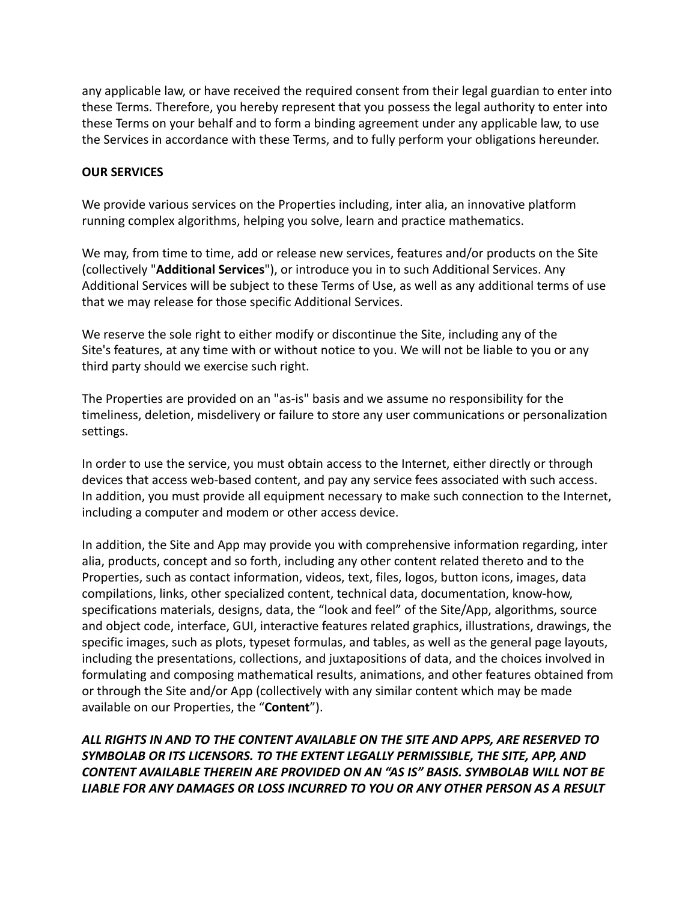any applicable law, or have received the required consent from their legal guardian to enter into these Terms. Therefore, you hereby represent that you possess the legal authority to enter into these Terms on your behalf and to form a binding agreement under any applicable law, to use the Services in accordance with these Terms, and to fully perform your obligations hereunder.

### **OUR SERVICES**

We provide various services on the Properties including, inter alia, an innovative platform running complex algorithms, helping you solve, learn and practice mathematics.

We may, from time to time, add or release new services, features and/or products on the Site (collectively "**Additional Services**"), or introduce you in to such Additional Services. Any Additional Services will be subject to these Terms of Use, as well as any additional terms of use that we may release for those specific Additional Services.

We reserve the sole right to either modify or discontinue the Site, including any of the Site's features, at any time with or without notice to you. We will not be liable to you or any third party should we exercise such right.

The Properties are provided on an "as-is" basis and we assume no responsibility for the timeliness, deletion, misdelivery or failure to store any user communications or personalization settings.

In order to use the service, you must obtain access to the Internet, either directly or through devices that access web-based content, and pay any service fees associated with such access. In addition, you must provide all equipment necessary to make such connection to the Internet, including a computer and modem or other access device.

In addition, the Site and App may provide you with comprehensive information regarding, inter alia, products, concept and so forth, including any other content related thereto and to the Properties, such as contact information, videos, text, files, logos, button icons, images, data compilations, links, other specialized content, technical data, documentation, know-how, specifications materials, designs, data, the "look and feel" of the Site/App, algorithms, source and object code, interface, GUI, interactive features related graphics, illustrations, drawings, the specific images, such as plots, typeset formulas, and tables, as well as the general page layouts, including the presentations, collections, and juxtapositions of data, and the choices involved in formulating and composing mathematical results, animations, and other features obtained from or through the Site and/or App (collectively with any similar content which may be made available on our Properties, the "**Content**").

*ALL RIGHTS IN AND TO THE CONTENT AVAILABLE ON THE SITE AND APPS, ARE RESERVED TO SYMBOLAB OR ITS LICENSORS. TO THE EXTENT LEGALLY PERMISSIBLE, THE SITE, APP, AND CONTENT AVAILABLE THEREIN ARE PROVIDED ON AN "AS IS" BASIS. SYMBOLAB WILL NOT BE LIABLE FOR ANY DAMAGES OR LOSS INCURRED TO YOU OR ANY OTHER PERSON AS A RESULT*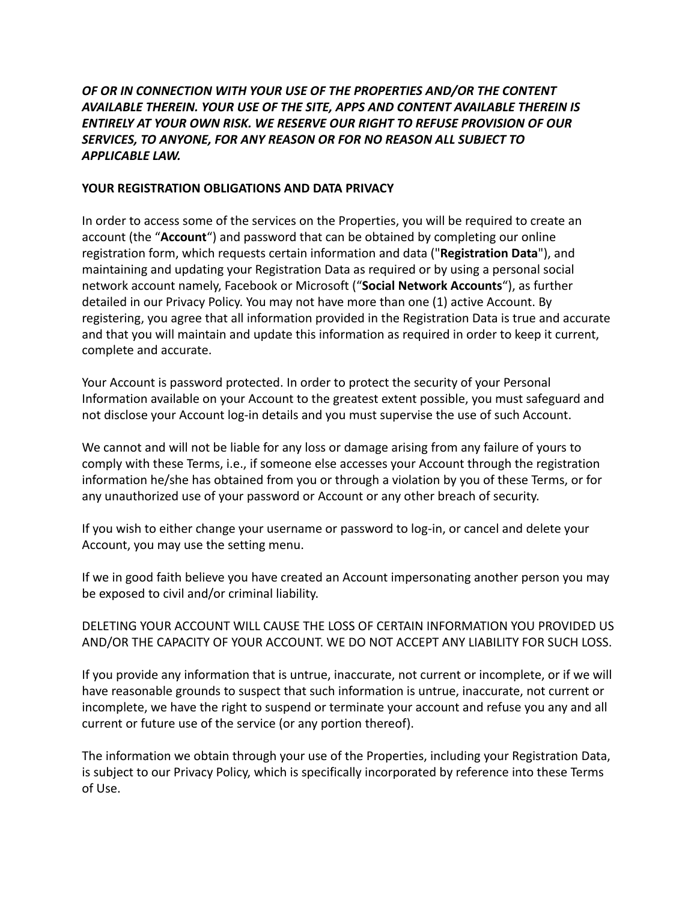# *OF OR IN CONNECTION WITH YOUR USE OF THE PROPERTIES AND/OR THE CONTENT AVAILABLE THEREIN. YOUR USE OF THE SITE, APPS AND CONTENT AVAILABLE THEREIN IS ENTIRELY AT YOUR OWN RISK. WE RESERVE OUR RIGHT TO REFUSE PROVISION OF OUR SERVICES, TO ANYONE, FOR ANY REASON OR FOR NO REASON ALL SUBJECT TO APPLICABLE LAW.*

### **YOUR REGISTRATION OBLIGATIONS AND DATA PRIVACY**

In order to access some of the services on the Properties, you will be required to create an account (the "**Account**") and password that can be obtained by completing our online registration form, which requests certain information and data ("**Registration Data**"), and maintaining and updating your Registration Data as required or by using a personal social network account namely, Facebook or Microsoft ("**Social Network Accounts**"), as further detailed in our Privacy Policy. You may not have more than one (1) active Account. By registering, you agree that all information provided in the Registration Data is true and accurate and that you will maintain and update this information as required in order to keep it current, complete and accurate.

Your Account is password protected. In order to protect the security of your Personal Information available on your Account to the greatest extent possible, you must safeguard and not disclose your Account log-in details and you must supervise the use of such Account.

We cannot and will not be liable for any loss or damage arising from any failure of yours to comply with these Terms, i.e., if someone else accesses your Account through the registration information he/she has obtained from you or through a violation by you of these Terms, or for any unauthorized use of your password or Account or any other breach of security.

If you wish to either change your username or password to log-in, or cancel and delete your Account, you may use the setting menu.

If we in good faith believe you have created an Account impersonating another person you may be exposed to civil and/or criminal liability.

## DELETING YOUR ACCOUNT WILL CAUSE THE LOSS OF CERTAIN INFORMATION YOU PROVIDED US AND/OR THE CAPACITY OF YOUR ACCOUNT. WE DO NOT ACCEPT ANY LIABILITY FOR SUCH LOSS.

If you provide any information that is untrue, inaccurate, not current or incomplete, or if we will have reasonable grounds to suspect that such information is untrue, inaccurate, not current or incomplete, we have the right to suspend or terminate your account and refuse you any and all current or future use of the service (or any portion thereof).

The information we obtain through your use of the Properties, including your Registration Data, is subject to our Privacy Policy, which is specifically incorporated by reference into these Terms of Use.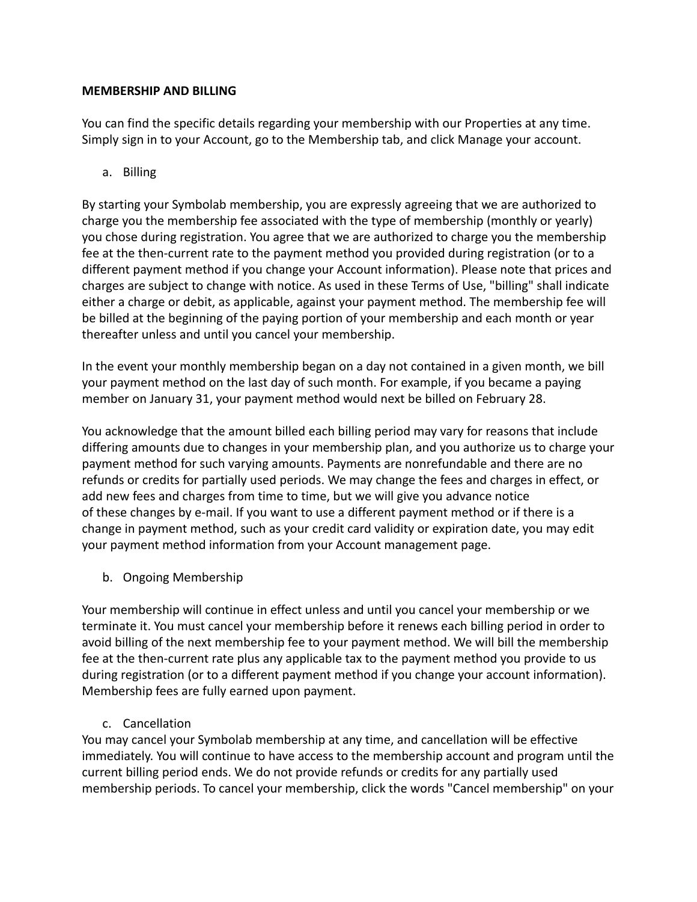### **MEMBERSHIP AND BILLING**

You can find the specific details regarding your membership with our Properties at any time. Simply sign in to your Account, go to the Membership tab, and click Manage your account.

a. Billing

By starting your Symbolab membership, you are expressly agreeing that we are authorized to charge you the membership fee associated with the type of membership (monthly or yearly) you chose during registration. You agree that we are authorized to charge you the membership fee at the then-current rate to the payment method you provided during registration (or to a different payment method if you change your Account information). Please note that prices and charges are subject to change with notice. As used in these Terms of Use, "billing" shall indicate either a charge or debit, as applicable, against your payment method. The membership fee will be billed at the beginning of the paying portion of your membership and each month or year thereafter unless and until you cancel your membership.

In the event your monthly membership began on a day not contained in a given month, we bill your payment method on the last day of such month. For example, if you became a paying member on January 31, your payment method would next be billed on February 28.

You acknowledge that the amount billed each billing period may vary for reasons that include differing amounts due to changes in your membership plan, and you authorize us to charge your payment method for such varying amounts. Payments are nonrefundable and there are no refunds or credits for partially used periods. We may change the fees and charges in effect, or add new fees and charges from time to time, but we will give you advance notice of these changes by e-mail. If you want to use a different payment method or if there is a change in payment method, such as your credit card validity or expiration date, you may edit your payment method information from your Account management page.

b. Ongoing Membership

Your membership will continue in effect unless and until you cancel your membership or we terminate it. You must cancel your membership before it renews each billing period in order to avoid billing of the next membership fee to your payment method. We will bill the membership fee at the then-current rate plus any applicable tax to the payment method you provide to us during registration (or to a different payment method if you change your account information). Membership fees are fully earned upon payment.

c. Cancellation

You may cancel your Symbolab membership at any time, and cancellation will be effective immediately. You will continue to have access to the membership account and program until the current billing period ends. We do not provide refunds or credits for any partially used membership periods. To cancel your membership, click the words "Cancel membership" on your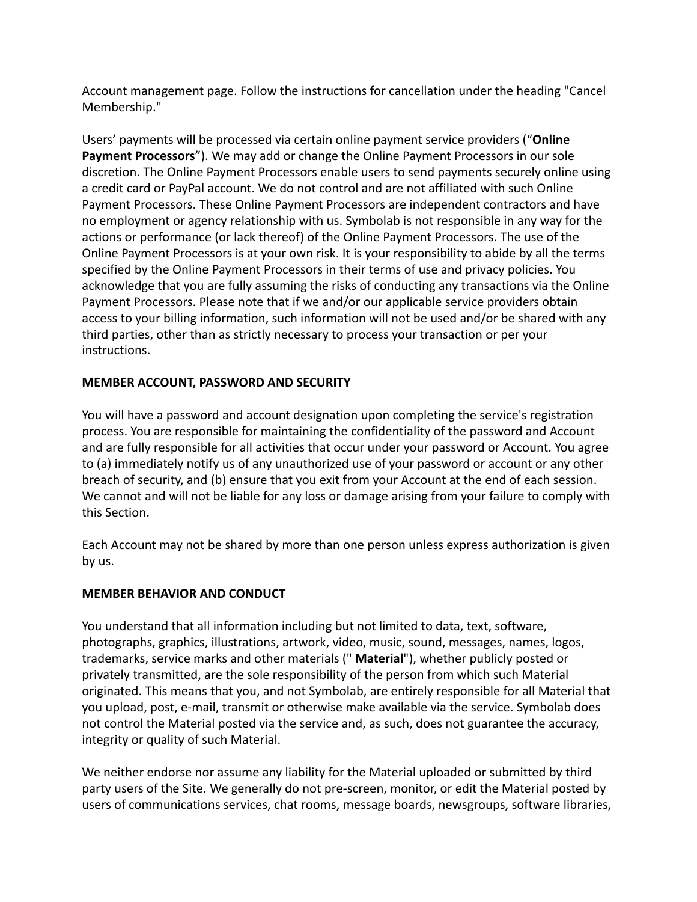Account management page. Follow the instructions for cancellation under the heading "Cancel Membership."

Users' payments will be processed via certain online payment service providers ("**Online Payment Processors**"). We may add or change the Online Payment Processors in our sole discretion. The Online Payment Processors enable users to send payments securely online using a credit card or PayPal account. We do not control and are not affiliated with such Online Payment Processors. These Online Payment Processors are independent contractors and have no employment or agency relationship with us. Symbolab is not responsible in any way for the actions or performance (or lack thereof) of the Online Payment Processors. The use of the Online Payment Processors is at your own risk. It is your responsibility to abide by all the terms specified by the Online Payment Processors in their terms of use and privacy policies. You acknowledge that you are fully assuming the risks of conducting any transactions via the Online Payment Processors. Please note that if we and/or our applicable service providers obtain access to your billing information, such information will not be used and/or be shared with any third parties, other than as strictly necessary to process your transaction or per your instructions.

## **MEMBER ACCOUNT, PASSWORD AND SECURITY**

You will have a password and account designation upon completing the service's registration process. You are responsible for maintaining the confidentiality of the password and Account and are fully responsible for all activities that occur under your password or Account. You agree to (a) immediately notify us of any unauthorized use of your password or account or any other breach of security, and (b) ensure that you exit from your Account at the end of each session. We cannot and will not be liable for any loss or damage arising from your failure to comply with this Section.

Each Account may not be shared by more than one person unless express authorization is given by us.

## **MEMBER BEHAVIOR AND CONDUCT**

You understand that all information including but not limited to data, text, software, photographs, graphics, illustrations, artwork, video, music, sound, messages, names, logos, trademarks, service marks and other materials (" **Material**"), whether publicly posted or privately transmitted, are the sole responsibility of the person from which such Material originated. This means that you, and not Symbolab, are entirely responsible for all Material that you upload, post, e-mail, transmit or otherwise make available via the service. Symbolab does not control the Material posted via the service and, as such, does not guarantee the accuracy, integrity or quality of such Material.

We neither endorse nor assume any liability for the Material uploaded or submitted by third party users of the Site. We generally do not pre-screen, monitor, or edit the Material posted by users of communications services, chat rooms, message boards, newsgroups, software libraries,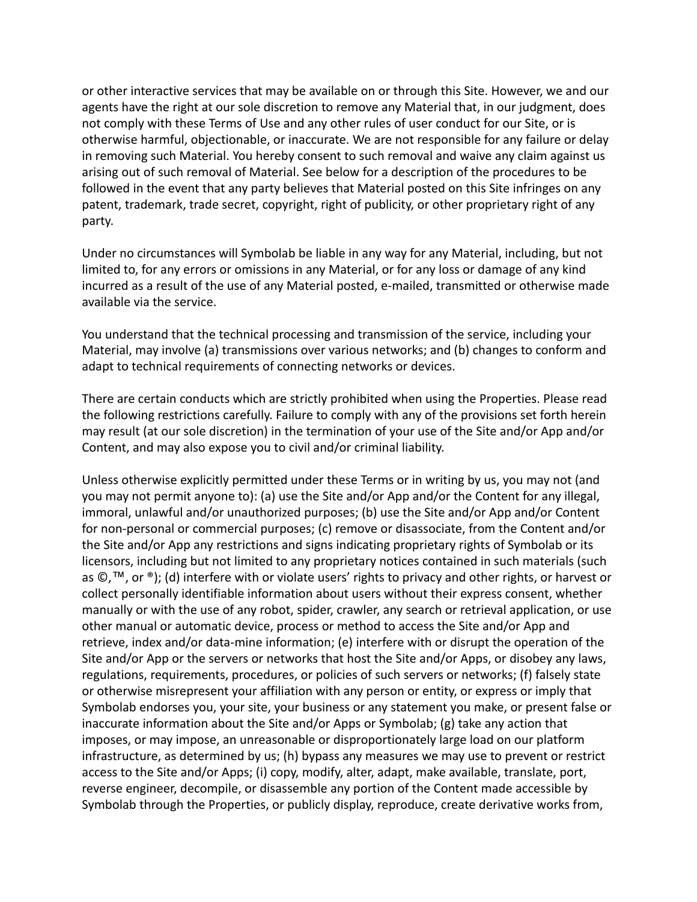or other interactive services that may be available on or through this Site. However, we and our agents have the right at our sole discretion to remove any Material that, in our judgment, does not comply with these Terms of Use and any other rules of user conduct for our Site, or is otherwise harmful, objectionable, or inaccurate. We are not responsible for any failure or delay in removing such Material. You hereby consent to such removal and waive any claim against us arising out of such removal of Material. See below for a description of the procedures to be followed in the event that any party believes that Material posted on this Site infringes on any patent, trademark, trade secret, copyright, right of publicity, or other proprietary right of any party.

Under no circumstances will Symbolab be liable in any way for any Material, including, but not limited to, for any errors or omissions in any Material, or for any loss or damage of any kind incurred as a result of the use of any Material posted, e-mailed, transmitted or otherwise made available via the service.

You understand that the technical processing and transmission of the service, including your Material, may involve (a) transmissions over various networks; and (b) changes to conform and adapt to technical requirements of connecting networks or devices.

There are certain conducts which are strictly prohibited when using the Properties. Please read the following restrictions carefully. Failure to comply with any of the provisions set forth herein may result (at our sole discretion) in the termination of your use of the Site and/or App and/or Content, and may also expose you to civil and/or criminal liability.

Unless otherwise explicitly permitted under these Terms or in writing by us, you may not (and you may not permit anyone to): (a) use the Site and/or App and/or the Content for any illegal, immoral, unlawful and/or unauthorized purposes; (b) use the Site and/or App and/or Content for non-personal or commercial purposes; (c) remove or disassociate, from the Content and/or the Site and/or App any restrictions and signs indicating proprietary rights of Symbolab or its licensors, including but not limited to any proprietary notices contained in such materials (such as ©,™, or ®); (d) interfere with or violate users' rights to privacy and other rights, or harvest or collect personally identifiable information about users without their express consent, whether manually or with the use of any robot, spider, crawler, any search or retrieval application, or use other manual or automatic device, process or method to access the Site and/or App and retrieve, index and/or data-mine information; (e) interfere with or disrupt the operation of the Site and/or App or the servers or networks that host the Site and/or Apps, or disobey any laws, regulations, requirements, procedures, or policies of such servers or networks; (f) falsely state or otherwise misrepresent your affiliation with any person or entity, or express or imply that Symbolab endorses you, your site, your business or any statement you make, or present false or inaccurate information about the Site and/or Apps or Symbolab; (g) take any action that imposes, or may impose, an unreasonable or disproportionately large load on our platform infrastructure, as determined by us; (h) bypass any measures we may use to prevent or restrict access to the Site and/or Apps; (i) copy, modify, alter, adapt, make available, translate, port, reverse engineer, decompile, or disassemble any portion of the Content made accessible by Symbolab through the Properties, or publicly display, reproduce, create derivative works from,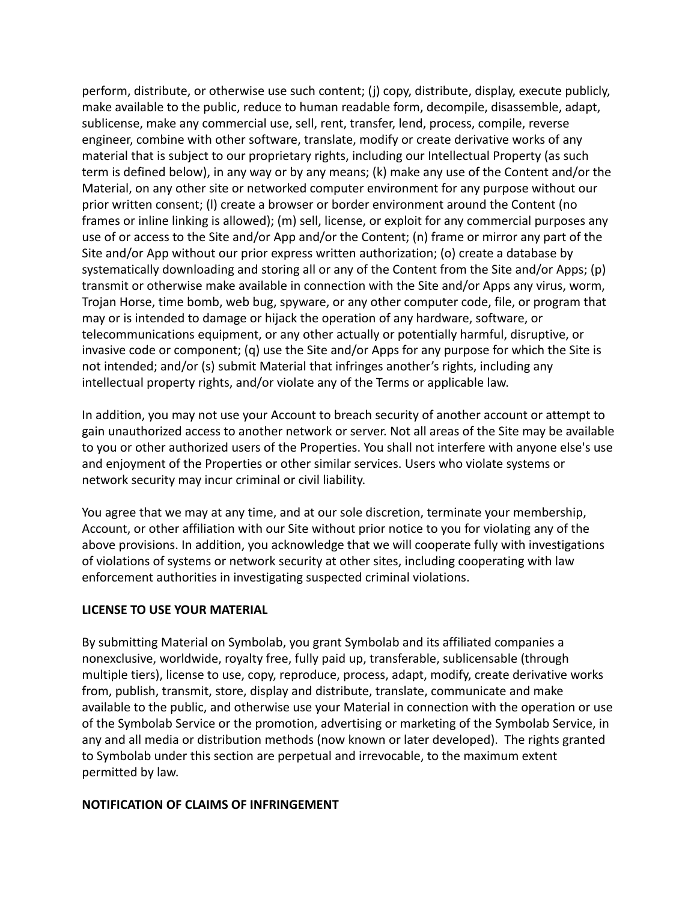perform, distribute, or otherwise use such content; (j) copy, distribute, display, execute publicly, make available to the public, reduce to human readable form, decompile, disassemble, adapt, sublicense, make any commercial use, sell, rent, transfer, lend, process, compile, reverse engineer, combine with other software, translate, modify or create derivative works of any material that is subject to our proprietary rights, including our Intellectual Property (as such term is defined below), in any way or by any means; (k) make any use of the Content and/or the Material, on any other site or networked computer environment for any purpose without our prior written consent; (l) create a browser or border environment around the Content (no frames or inline linking is allowed); (m) sell, license, or exploit for any commercial purposes any use of or access to the Site and/or App and/or the Content; (n) frame or mirror any part of the Site and/or App without our prior express written authorization; (o) create a database by systematically downloading and storing all or any of the Content from the Site and/or Apps; (p) transmit or otherwise make available in connection with the Site and/or Apps any virus, worm, Trojan Horse, time bomb, web bug, spyware, or any other computer code, file, or program that may or is intended to damage or hijack the operation of any hardware, software, or telecommunications equipment, or any other actually or potentially harmful, disruptive, or invasive code or component; (q) use the Site and/or Apps for any purpose for which the Site is not intended; and/or (s) submit Material that infringes another's rights, including any intellectual property rights, and/or violate any of the Terms or applicable law.

In addition, you may not use your Account to breach security of another account or attempt to gain unauthorized access to another network or server. Not all areas of the Site may be available to you or other authorized users of the Properties. You shall not interfere with anyone else's use and enjoyment of the Properties or other similar services. Users who violate systems or network security may incur criminal or civil liability.

You agree that we may at any time, and at our sole discretion, terminate your membership, Account, or other affiliation with our Site without prior notice to you for violating any of the above provisions. In addition, you acknowledge that we will cooperate fully with investigations of violations of systems or network security at other sites, including cooperating with law enforcement authorities in investigating suspected criminal violations.

### **LICENSE TO USE YOUR MATERIAL**

By submitting Material on Symbolab, you grant Symbolab and its affiliated companies a nonexclusive, worldwide, royalty free, fully paid up, transferable, sublicensable (through multiple tiers), license to use, copy, reproduce, process, adapt, modify, create derivative works from, publish, transmit, store, display and distribute, translate, communicate and make available to the public, and otherwise use your Material in connection with the operation or use of the Symbolab Service or the promotion, advertising or marketing of the Symbolab Service, in any and all media or distribution methods (now known or later developed). The rights granted to Symbolab under this section are perpetual and irrevocable, to the maximum extent permitted by law.

#### **NOTIFICATION OF CLAIMS OF INFRINGEMENT**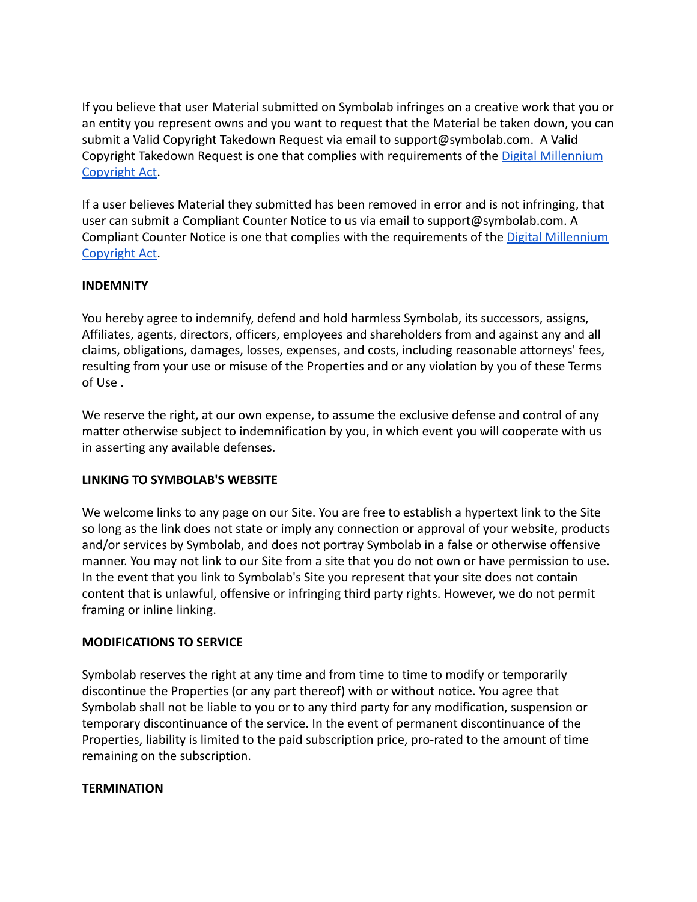If you believe that user Material submitted on Symbolab infringes on a creative work that you or an entity you represent owns and you want to request that the Material be taken down, you can submit a Valid Copyright Takedown Request via email to support@symbolab.com. A Valid Copyright Takedown Request is one that complies with requirements of the [Digital Millennium](https://www.coursehero.com/copyright-infringement/requirements/) [Copyright Act.](https://www.coursehero.com/copyright-infringement/requirements/)

If a user believes Material they submitted has been removed in error and is not infringing, that user can submit a Compliant Counter Notice to us via email to support@symbolab.com. A Compliant Counter Notice is one that complies with the requirements of the [Digital Millennium](https://www.coursehero.com/counter-notice/requirements/) [Copyright Act.](https://www.coursehero.com/counter-notice/requirements/)

### **INDEMNITY**

You hereby agree to indemnify, defend and hold harmless Symbolab, its successors, assigns, Affiliates, agents, directors, officers, employees and shareholders from and against any and all claims, obligations, damages, losses, expenses, and costs, including reasonable attorneys' fees, resulting from your use or misuse of the Properties and or any violation by you of these Terms of Use .

We reserve the right, at our own expense, to assume the exclusive defense and control of any matter otherwise subject to indemnification by you, in which event you will cooperate with us in asserting any available defenses.

### **LINKING TO SYMBOLAB'S WEBSITE**

We welcome links to any page on our Site. You are free to establish a hypertext link to the Site so long as the link does not state or imply any connection or approval of your website, products and/or services by Symbolab, and does not portray Symbolab in a false or otherwise offensive manner. You may not link to our Site from a site that you do not own or have permission to use. In the event that you link to Symbolab's Site you represent that your site does not contain content that is unlawful, offensive or infringing third party rights. However, we do not permit framing or inline linking.

### **MODIFICATIONS TO SERVICE**

Symbolab reserves the right at any time and from time to time to modify or temporarily discontinue the Properties (or any part thereof) with or without notice. You agree that Symbolab shall not be liable to you or to any third party for any modification, suspension or temporary discontinuance of the service. In the event of permanent discontinuance of the Properties, liability is limited to the paid subscription price, pro-rated to the amount of time remaining on the subscription.

### **TERMINATION**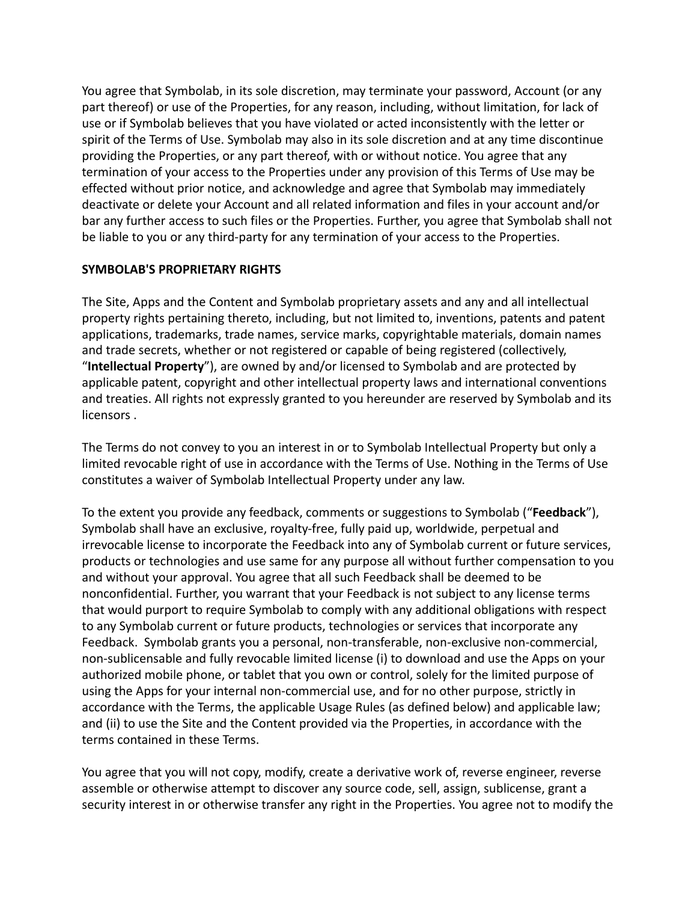You agree that Symbolab, in its sole discretion, may terminate your password, Account (or any part thereof) or use of the Properties, for any reason, including, without limitation, for lack of use or if Symbolab believes that you have violated or acted inconsistently with the letter or spirit of the Terms of Use. Symbolab may also in its sole discretion and at any time discontinue providing the Properties, or any part thereof, with or without notice. You agree that any termination of your access to the Properties under any provision of this Terms of Use may be effected without prior notice, and acknowledge and agree that Symbolab may immediately deactivate or delete your Account and all related information and files in your account and/or bar any further access to such files or the Properties. Further, you agree that Symbolab shall not be liable to you or any third-party for any termination of your access to the Properties.

### **SYMBOLAB'S PROPRIETARY RIGHTS**

The Site, Apps and the Content and Symbolab proprietary assets and any and all intellectual property rights pertaining thereto, including, but not limited to, inventions, patents and patent applications, trademarks, trade names, service marks, copyrightable materials, domain names and trade secrets, whether or not registered or capable of being registered (collectively, "**Intellectual Property**"), are owned by and/or licensed to Symbolab and are protected by applicable patent, copyright and other intellectual property laws and international conventions and treaties. All rights not expressly granted to you hereunder are reserved by Symbolab and its licensors .

The Terms do not convey to you an interest in or to Symbolab Intellectual Property but only a limited revocable right of use in accordance with the Terms of Use. Nothing in the Terms of Use constitutes a waiver of Symbolab Intellectual Property under any law.

To the extent you provide any feedback, comments or suggestions to Symbolab ("**Feedback**"), Symbolab shall have an exclusive, royalty-free, fully paid up, worldwide, perpetual and irrevocable license to incorporate the Feedback into any of Symbolab current or future services, products or technologies and use same for any purpose all without further compensation to you and without your approval. You agree that all such Feedback shall be deemed to be nonconfidential. Further, you warrant that your Feedback is not subject to any license terms that would purport to require Symbolab to comply with any additional obligations with respect to any Symbolab current or future products, technologies or services that incorporate any Feedback. Symbolab grants you a personal, non-transferable, non-exclusive non-commercial, non-sublicensable and fully revocable limited license (i) to download and use the Apps on your authorized mobile phone, or tablet that you own or control, solely for the limited purpose of using the Apps for your internal non-commercial use, and for no other purpose, strictly in accordance with the Terms, the applicable Usage Rules (as defined below) and applicable law; and (ii) to use the Site and the Content provided via the Properties, in accordance with the terms contained in these Terms.

You agree that you will not copy, modify, create a derivative work of, reverse engineer, reverse assemble or otherwise attempt to discover any source code, sell, assign, sublicense, grant a security interest in or otherwise transfer any right in the Properties. You agree not to modify the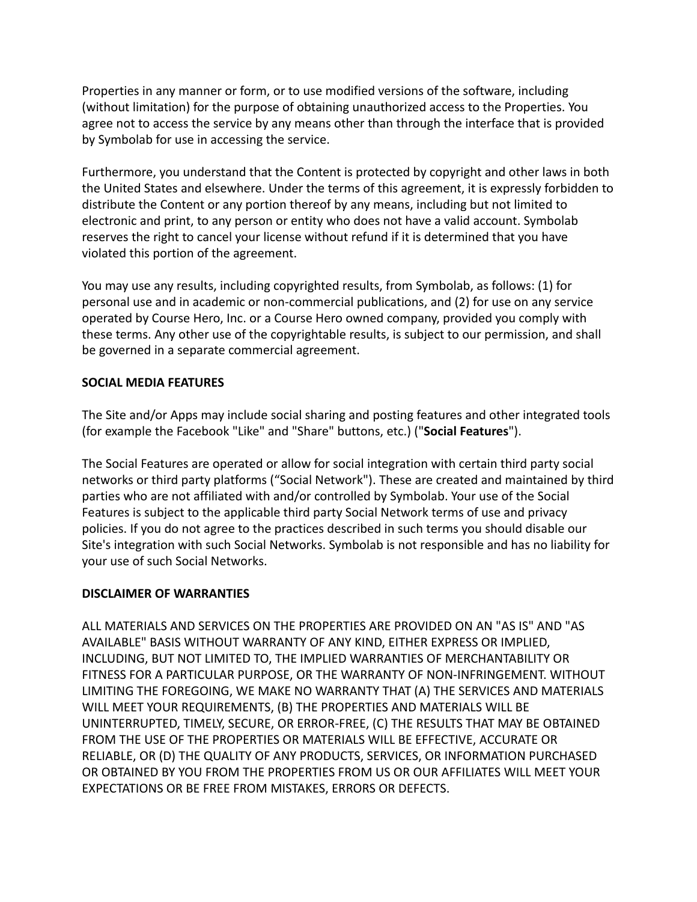Properties in any manner or form, or to use modified versions of the software, including (without limitation) for the purpose of obtaining unauthorized access to the Properties. You agree not to access the service by any means other than through the interface that is provided by Symbolab for use in accessing the service.

Furthermore, you understand that the Content is protected by copyright and other laws in both the United States and elsewhere. Under the terms of this agreement, it is expressly forbidden to distribute the Content or any portion thereof by any means, including but not limited to electronic and print, to any person or entity who does not have a valid account. Symbolab reserves the right to cancel your license without refund if it is determined that you have violated this portion of the agreement.

You may use any results, including copyrighted results, from Symbolab, as follows: (1) for personal use and in academic or non-commercial publications, and (2) for use on any service operated by Course Hero, Inc. or a Course Hero owned company, provided you comply with these terms. Any other use of the copyrightable results, is subject to our permission, and shall be governed in a separate commercial agreement.

## **SOCIAL MEDIA FEATURES**

The Site and/or Apps may include social sharing and posting features and other integrated tools (for example the Facebook "Like" and "Share" buttons, etc.) ("**Social Features**").

The Social Features are operated or allow for social integration with certain third party social networks or third party platforms ("Social Network"). These are created and maintained by third parties who are not affiliated with and/or controlled by Symbolab. Your use of the Social Features is subject to the applicable third party Social Network terms of use and privacy policies. If you do not agree to the practices described in such terms you should disable our Site's integration with such Social Networks. Symbolab is not responsible and has no liability for your use of such Social Networks.

### **DISCLAIMER OF WARRANTIES**

ALL MATERIALS AND SERVICES ON THE PROPERTIES ARE PROVIDED ON AN "AS IS" AND "AS AVAILABLE" BASIS WITHOUT WARRANTY OF ANY KIND, EITHER EXPRESS OR IMPLIED, INCLUDING, BUT NOT LIMITED TO, THE IMPLIED WARRANTIES OF MERCHANTABILITY OR FITNESS FOR A PARTICULAR PURPOSE, OR THE WARRANTY OF NON-INFRINGEMENT. WITHOUT LIMITING THE FOREGOING, WE MAKE NO WARRANTY THAT (A) THE SERVICES AND MATERIALS WILL MEET YOUR REQUIREMENTS, (B) THE PROPERTIES AND MATERIALS WILL BE UNINTERRUPTED, TIMELY, SECURE, OR ERROR-FREE, (C) THE RESULTS THAT MAY BE OBTAINED FROM THE USE OF THE PROPERTIES OR MATERIALS WILL BE EFFECTIVE, ACCURATE OR RELIABLE, OR (D) THE QUALITY OF ANY PRODUCTS, SERVICES, OR INFORMATION PURCHASED OR OBTAINED BY YOU FROM THE PROPERTIES FROM US OR OUR AFFILIATES WILL MEET YOUR EXPECTATIONS OR BE FREE FROM MISTAKES, ERRORS OR DEFECTS.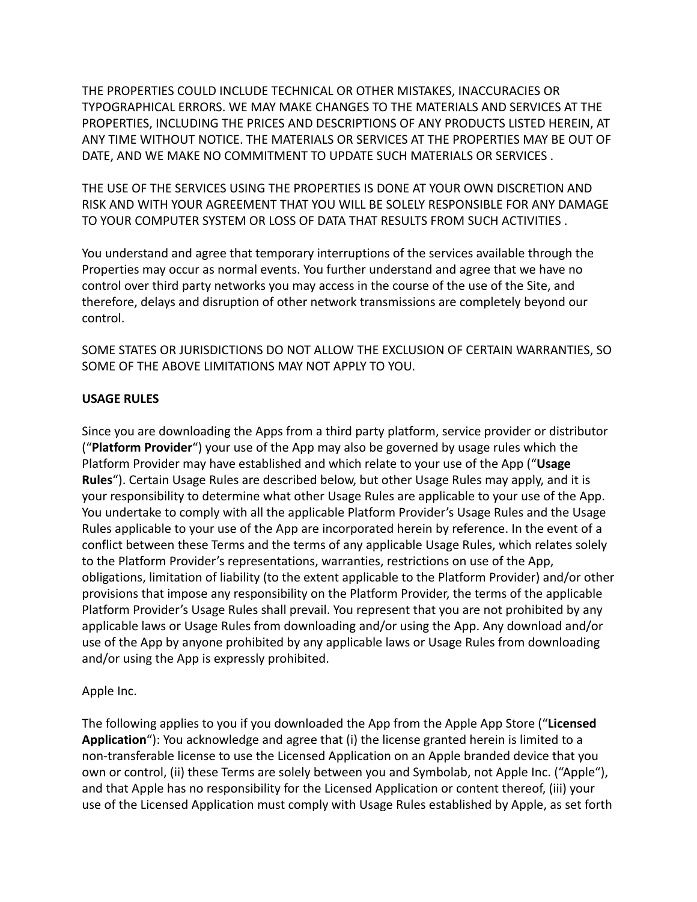THE PROPERTIES COULD INCLUDE TECHNICAL OR OTHER MISTAKES, INACCURACIES OR TYPOGRAPHICAL ERRORS. WE MAY MAKE CHANGES TO THE MATERIALS AND SERVICES AT THE PROPERTIES, INCLUDING THE PRICES AND DESCRIPTIONS OF ANY PRODUCTS LISTED HEREIN, AT ANY TIME WITHOUT NOTICE. THE MATERIALS OR SERVICES AT THE PROPERTIES MAY BE OUT OF DATE, AND WE MAKE NO COMMITMENT TO UPDATE SUCH MATERIALS OR SERVICES .

THE USE OF THE SERVICES USING THE PROPERTIES IS DONE AT YOUR OWN DISCRETION AND RISK AND WITH YOUR AGREEMENT THAT YOU WILL BE SOLELY RESPONSIBLE FOR ANY DAMAGE TO YOUR COMPUTER SYSTEM OR LOSS OF DATA THAT RESULTS FROM SUCH ACTIVITIES .

You understand and agree that temporary interruptions of the services available through the Properties may occur as normal events. You further understand and agree that we have no control over third party networks you may access in the course of the use of the Site, and therefore, delays and disruption of other network transmissions are completely beyond our control.

SOME STATES OR JURISDICTIONS DO NOT ALLOW THE EXCLUSION OF CERTAIN WARRANTIES, SO SOME OF THE ABOVE LIMITATIONS MAY NOT APPLY TO YOU.

### **USAGE RULES**

Since you are downloading the Apps from a third party platform, service provider or distributor ("**Platform Provider**") your use of the App may also be governed by usage rules which the Platform Provider may have established and which relate to your use of the App ("**Usage Rules**"). Certain Usage Rules are described below, but other Usage Rules may apply, and it is your responsibility to determine what other Usage Rules are applicable to your use of the App. You undertake to comply with all the applicable Platform Provider's Usage Rules and the Usage Rules applicable to your use of the App are incorporated herein by reference. In the event of a conflict between these Terms and the terms of any applicable Usage Rules, which relates solely to the Platform Provider's representations, warranties, restrictions on use of the App, obligations, limitation of liability (to the extent applicable to the Platform Provider) and/or other provisions that impose any responsibility on the Platform Provider, the terms of the applicable Platform Provider's Usage Rules shall prevail. You represent that you are not prohibited by any applicable laws or Usage Rules from downloading and/or using the App. Any download and/or use of the App by anyone prohibited by any applicable laws or Usage Rules from downloading and/or using the App is expressly prohibited.

## Apple Inc.

The following applies to you if you downloaded the App from the Apple App Store ("**Licensed Application**"): You acknowledge and agree that (i) the license granted herein is limited to a non-transferable license to use the Licensed Application on an Apple branded device that you own or control, (ii) these Terms are solely between you and Symbolab, not Apple Inc. ("Apple"), and that Apple has no responsibility for the Licensed Application or content thereof, (iii) your use of the Licensed Application must comply with Usage Rules established by Apple, as set forth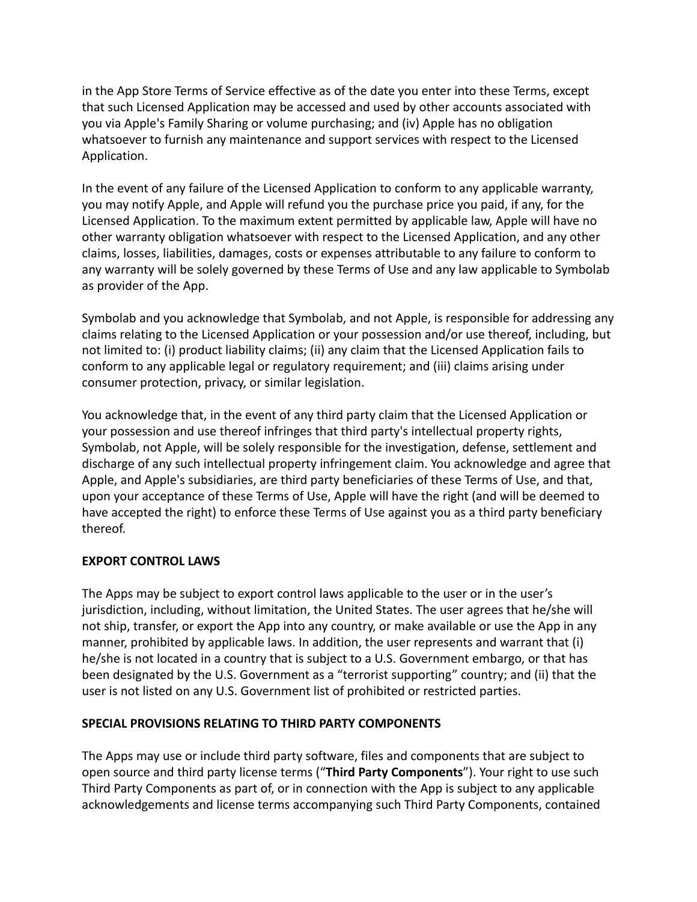in the App Store Terms of Service effective as of the date you enter into these Terms, except that such Licensed Application may be accessed and used by other accounts associated with you via Apple's Family Sharing or volume purchasing; and (iv) Apple has no obligation whatsoever to furnish any maintenance and support services with respect to the Licensed Application.

In the event of any failure of the Licensed Application to conform to any applicable warranty, you may notify Apple, and Apple will refund you the purchase price you paid, if any, for the Licensed Application. To the maximum extent permitted by applicable law, Apple will have no other warranty obligation whatsoever with respect to the Licensed Application, and any other claims, losses, liabilities, damages, costs or expenses attributable to any failure to conform to any warranty will be solely governed by these Terms of Use and any law applicable to Symbolab as provider of the App.

Symbolab and you acknowledge that Symbolab, and not Apple, is responsible for addressing any claims relating to the Licensed Application or your possession and/or use thereof, including, but not limited to: (i) product liability claims; (ii) any claim that the Licensed Application fails to conform to any applicable legal or regulatory requirement; and (iii) claims arising under consumer protection, privacy, or similar legislation.

You acknowledge that, in the event of any third party claim that the Licensed Application or your possession and use thereof infringes that third party's intellectual property rights, Symbolab, not Apple, will be solely responsible for the investigation, defense, settlement and discharge of any such intellectual property infringement claim. You acknowledge and agree that Apple, and Apple's subsidiaries, are third party beneficiaries of these Terms of Use, and that, upon your acceptance of these Terms of Use, Apple will have the right (and will be deemed to have accepted the right) to enforce these Terms of Use against you as a third party beneficiary thereof.

## **EXPORT CONTROL LAWS**

The Apps may be subject to export control laws applicable to the user or in the user's jurisdiction, including, without limitation, the United States. The user agrees that he/she will not ship, transfer, or export the App into any country, or make available or use the App in any manner, prohibited by applicable laws. In addition, the user represents and warrant that (i) he/she is not located in a country that is subject to a U.S. Government embargo, or that has been designated by the U.S. Government as a "terrorist supporting" country; and (ii) that the user is not listed on any U.S. Government list of prohibited or restricted parties.

### **SPECIAL PROVISIONS RELATING TO THIRD PARTY COMPONENTS**

The Apps may use or include third party software, files and components that are subject to open source and third party license terms ("**Third Party Components**"). Your right to use such Third Party Components as part of, or in connection with the App is subject to any applicable acknowledgements and license terms accompanying such Third Party Components, contained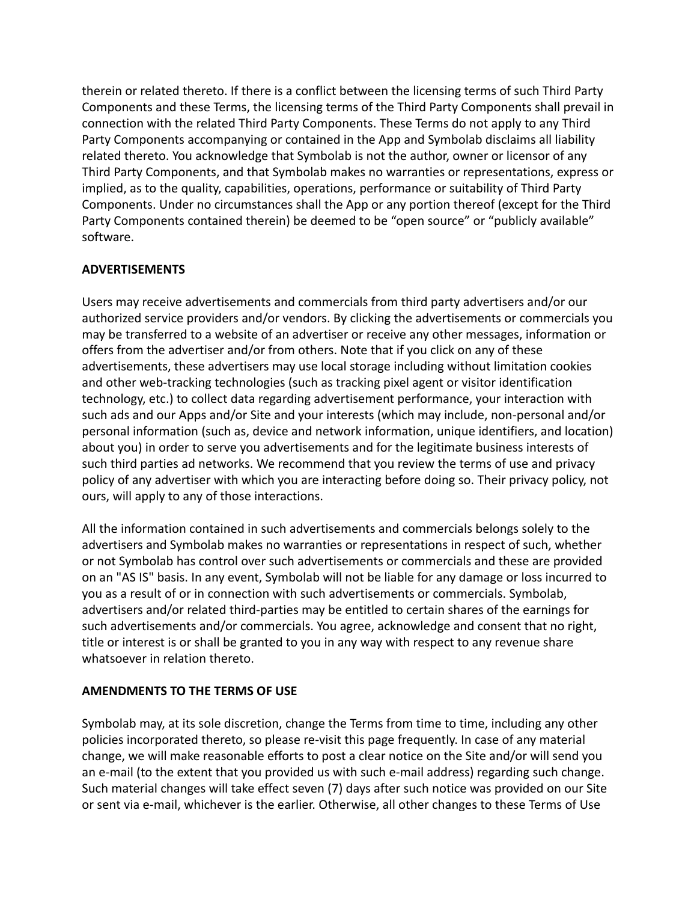therein or related thereto. If there is a conflict between the licensing terms of such Third Party Components and these Terms, the licensing terms of the Third Party Components shall prevail in connection with the related Third Party Components. These Terms do not apply to any Third Party Components accompanying or contained in the App and Symbolab disclaims all liability related thereto. You acknowledge that Symbolab is not the author, owner or licensor of any Third Party Components, and that Symbolab makes no warranties or representations, express or implied, as to the quality, capabilities, operations, performance or suitability of Third Party Components. Under no circumstances shall the App or any portion thereof (except for the Third Party Components contained therein) be deemed to be "open source" or "publicly available" software.

## **ADVERTISEMENTS**

Users may receive advertisements and commercials from third party advertisers and/or our authorized service providers and/or vendors. By clicking the advertisements or commercials you may be transferred to a website of an advertiser or receive any other messages, information or offers from the advertiser and/or from others. Note that if you click on any of these advertisements, these advertisers may use local storage including without limitation cookies and other web-tracking technologies (such as tracking pixel agent or visitor identification technology, etc.) to collect data regarding advertisement performance, your interaction with such ads and our Apps and/or Site and your interests (which may include, non-personal and/or personal information (such as, device and network information, unique identifiers, and location) about you) in order to serve you advertisements and for the legitimate business interests of such third parties ad networks. We recommend that you review the terms of use and privacy policy of any advertiser with which you are interacting before doing so. Their privacy policy, not ours, will apply to any of those interactions.

All the information contained in such advertisements and commercials belongs solely to the advertisers and Symbolab makes no warranties or representations in respect of such, whether or not Symbolab has control over such advertisements or commercials and these are provided on an "AS IS" basis. In any event, Symbolab will not be liable for any damage or loss incurred to you as a result of or in connection with such advertisements or commercials. Symbolab, advertisers and/or related third-parties may be entitled to certain shares of the earnings for such advertisements and/or commercials. You agree, acknowledge and consent that no right, title or interest is or shall be granted to you in any way with respect to any revenue share whatsoever in relation thereto.

### **AMENDMENTS TO THE TERMS OF USE**

Symbolab may, at its sole discretion, change the Terms from time to time, including any other policies incorporated thereto, so please re-visit this page frequently. In case of any material change, we will make reasonable efforts to post a clear notice on the Site and/or will send you an e-mail (to the extent that you provided us with such e-mail address) regarding such change. Such material changes will take effect seven (7) days after such notice was provided on our Site or sent via e-mail, whichever is the earlier. Otherwise, all other changes to these Terms of Use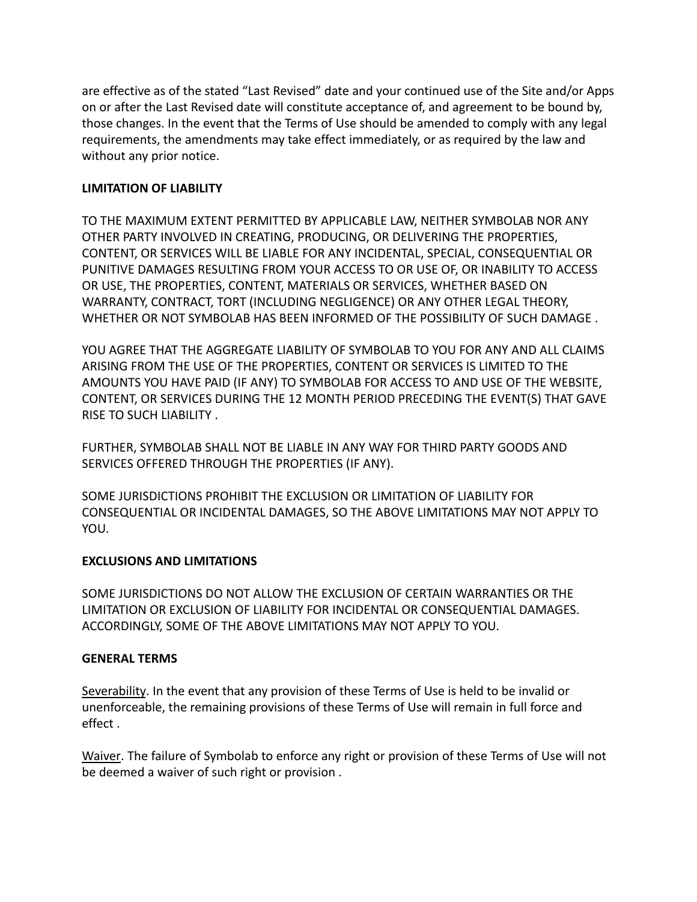are effective as of the stated "Last Revised" date and your continued use of the Site and/or Apps on or after the Last Revised date will constitute acceptance of, and agreement to be bound by, those changes. In the event that the Terms of Use should be amended to comply with any legal requirements, the amendments may take effect immediately, or as required by the law and without any prior notice.

### **LIMITATION OF LIABILITY**

TO THE MAXIMUM EXTENT PERMITTED BY APPLICABLE LAW, NEITHER SYMBOLAB NOR ANY OTHER PARTY INVOLVED IN CREATING, PRODUCING, OR DELIVERING THE PROPERTIES, CONTENT, OR SERVICES WILL BE LIABLE FOR ANY INCIDENTAL, SPECIAL, CONSEQUENTIAL OR PUNITIVE DAMAGES RESULTING FROM YOUR ACCESS TO OR USE OF, OR INABILITY TO ACCESS OR USE, THE PROPERTIES, CONTENT, MATERIALS OR SERVICES, WHETHER BASED ON WARRANTY, CONTRACT, TORT (INCLUDING NEGLIGENCE) OR ANY OTHER LEGAL THEORY, WHETHER OR NOT SYMBOLAB HAS BEEN INFORMED OF THE POSSIBILITY OF SUCH DAMAGE .

YOU AGREE THAT THE AGGREGATE LIABILITY OF SYMBOLAB TO YOU FOR ANY AND ALL CLAIMS ARISING FROM THE USE OF THE PROPERTIES, CONTENT OR SERVICES IS LIMITED TO THE AMOUNTS YOU HAVE PAID (IF ANY) TO SYMBOLAB FOR ACCESS TO AND USE OF THE WEBSITE, CONTENT, OR SERVICES DURING THE 12 MONTH PERIOD PRECEDING THE EVENT(S) THAT GAVE RISE TO SUCH LIABILITY .

FURTHER, SYMBOLAB SHALL NOT BE LIABLE IN ANY WAY FOR THIRD PARTY GOODS AND SERVICES OFFERED THROUGH THE PROPERTIES (IF ANY).

SOME JURISDICTIONS PROHIBIT THE EXCLUSION OR LIMITATION OF LIABILITY FOR CONSEQUENTIAL OR INCIDENTAL DAMAGES, SO THE ABOVE LIMITATIONS MAY NOT APPLY TO YOU.

## **EXCLUSIONS AND LIMITATIONS**

SOME JURISDICTIONS DO NOT ALLOW THE EXCLUSION OF CERTAIN WARRANTIES OR THE LIMITATION OR EXCLUSION OF LIABILITY FOR INCIDENTAL OR CONSEQUENTIAL DAMAGES. ACCORDINGLY, SOME OF THE ABOVE LIMITATIONS MAY NOT APPLY TO YOU.

### **GENERAL TERMS**

Severability. In the event that any provision of these Terms of Use is held to be invalid or unenforceable, the remaining provisions of these Terms of Use will remain in full force and effect .

Waiver. The failure of Symbolab to enforce any right or provision of these Terms of Use will not be deemed a waiver of such right or provision .